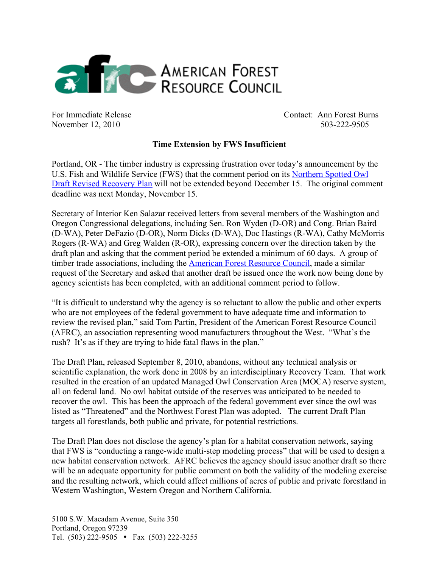

For Immediate Release Contact: Ann Forest Burns November 12, 2010 503-222-9505

## **Time Extension by FWS Insufficient**

Portland, OR - The timber industry is expressing frustration over today's announcement by the U.S. Fish and Wildlife Service (FWS) that the comment period on its Northern Spotted Owl Draft Revised Recovery Plan will not be extended beyond December 15. The original comment deadline was next Monday, November 15.

Secretary of Interior Ken Salazar received letters from several members of the Washington and Oregon Congressional delegations, including Sen. Ron Wyden (D-OR) and Cong. Brian Baird (D-WA), Peter DeFazio (D-OR), Norm Dicks (D-WA), Doc Hastings (R-WA), Cathy McMorris Rogers (R-WA) and Greg Walden (R-OR), expressing concern over the direction taken by the draft plan and asking that the comment period be extended a minimum of 60 days. A group of timber trade associations, including the **American Forest Resource Council**, made a similar request of the Secretary and asked that another draft be issued once the work now being done by agency scientists has been completed, with an additional comment period to follow.

"It is difficult to understand why the agency is so reluctant to allow the public and other experts who are not employees of the federal government to have adequate time and information to review the revised plan," said Tom Partin, President of the American Forest Resource Council (AFRC), an association representing wood manufacturers throughout the West. "What's the rush? It's as if they are trying to hide fatal flaws in the plan."

The Draft Plan, released September 8, 2010, abandons, without any technical analysis or scientific explanation, the work done in 2008 by an interdisciplinary Recovery Team. That work resulted in the creation of an updated Managed Owl Conservation Area (MOCA) reserve system, all on federal land. No owl habitat outside of the reserves was anticipated to be needed to recover the owl. This has been the approach of the federal government ever since the owl was listed as "Threatened" and the Northwest Forest Plan was adopted. The current Draft Plan targets all forestlands, both public and private, for potential restrictions.

The Draft Plan does not disclose the agency's plan for a habitat conservation network, saying that FWS is "conducting a range-wide multi-step modeling process" that will be used to design a new habitat conservation network. AFRC believes the agency should issue another draft so there will be an adequate opportunity for public comment on both the validity of the modeling exercise and the resulting network, which could affect millions of acres of public and private forestland in Western Washington, Western Oregon and Northern California.

5100 S.W. Macadam Avenue, Suite 350 Portland, Oregon 97239 Tel. (503) 222-9505 • Fax (503) 222-3255